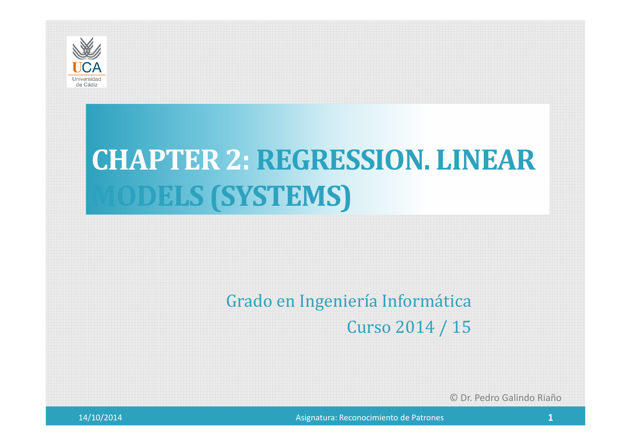

# **CHAPTER 2: REGRESSION. LINEAR MODELS (SYSTEMS)**

### Grado en Ingeniería Informática

Curso 2014 / 15

© Dr. Pedro Galindo Riaño



Asignatura: Reconocimiento de Patrones **1 1**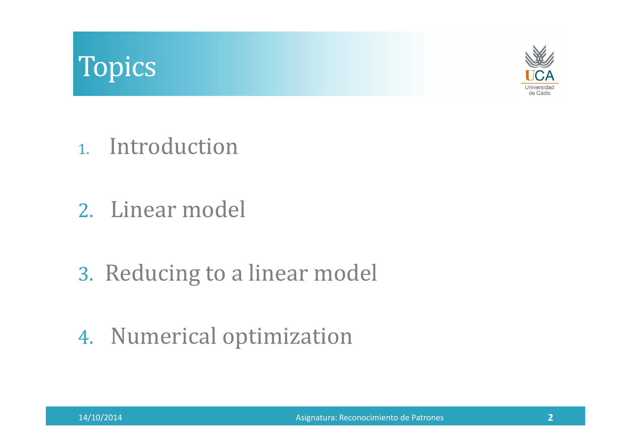# Topics



- 1. Introduction
- 2. Linear model
- 3. Reducing to a linear model
- 4. Numerical optimization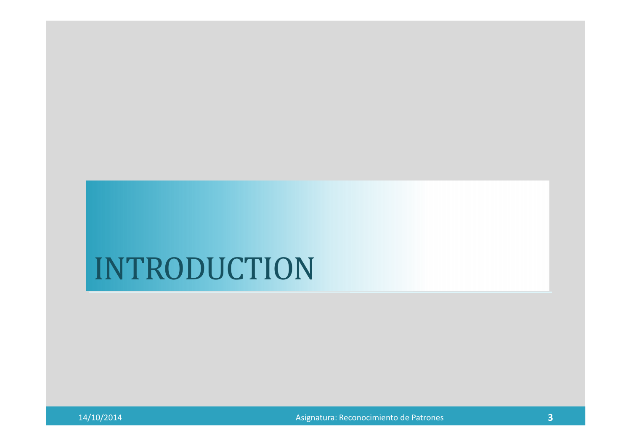# INTRODUCTION

14/10/2014

Asignatura: Reconocimiento de Patrones **<sup>3</sup>**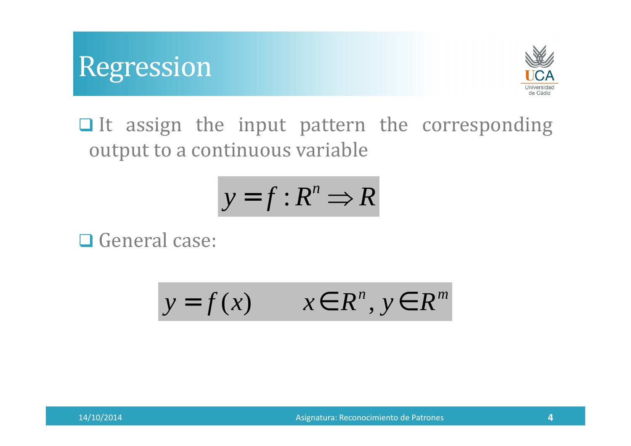



It assign the input pattern the corresponding output to <sup>a</sup> continuous variable

$$
y = f : R^n \Longrightarrow R
$$

Q General case:

$$
y = f(x) \qquad x \in R^n, y \in R^m
$$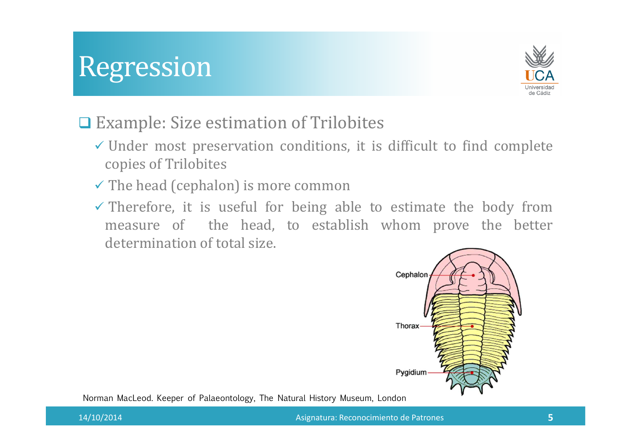## Regression



### **□ Example: Size estimation of Trilobites**

- Under most preservation conditions, it is difficult to find complete copies of Trilobites
- $\checkmark$  The head (cephalon) is more common
- Therefore, it is useful for being able to estimate the body frommeasure of the head, to establish whom prove the better<br>determination-of-total-size determination of total size.



Norman MacLeod. Keeper of Palaeontology, The Natural History Museum, London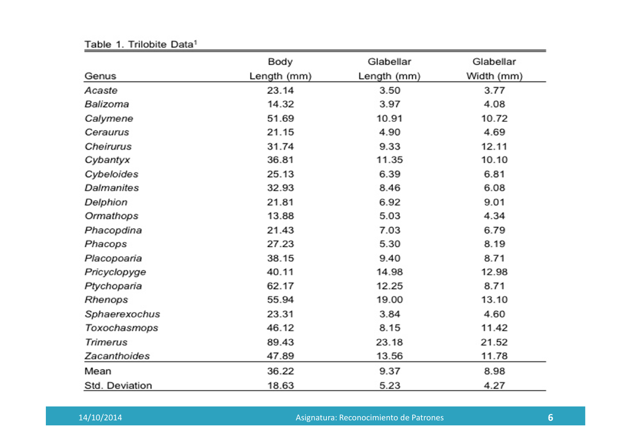|                   | Body        | Glabellar   | Glabellar  |
|-------------------|-------------|-------------|------------|
| Genus             | Length (mm) | Length (mm) | Width (mm) |
| Acaste            | 23.14       | 3.50        | 3.77       |
| Balizoma          | 14.32       | 3.97        | 4.08       |
| Calymene          | 51.69       | 10.91       | 10.72      |
| Ceraurus          | 21.15       | 4.90        | 4.69       |
| Cheirurus         | 31.74       | 9.33        | 12.11      |
| Cybantyx          | 36.81       | 11.35       | 10.10      |
| Cybeloides        | 25.13       | 6.39        | 6.81       |
| <b>Dalmanites</b> | 32.93       | 8.46        | 6.08       |
| Delphion          | 21.81       | 6.92        | 9.01       |
| Ormathops         | 13.88       | 5.03        | 4.34       |
| Phacopdina        | 21.43       | 7.03        | 6.79       |
| Phacops           | 27.23       | 5.30        | 8.19       |
| Placopoaria       | 38.15       | 9.40        | 8.71       |
| Pricyclopyge      | 40.11       | 14.98       | 12.98      |
| Ptychoparia       | 62.17       | 12.25       | 8.71       |
| Rhenops           | 55.94       | 19.00       | 13.10      |
| Sphaerexochus     | 23.31       | 3.84        | 4.60       |
| Toxochasmops      | 46.12       | 8.15        | 11.42      |
| Trimerus          | 89.43       | 23.18       | 21.52      |
| Zacanthoides      | 47.89       | 13.56       | 11.78      |
| Mean              | 36.22       | 9.37        | 8.98       |
| Std. Deviation    | 18.63       | 5.23        | 4.27       |

Table 1. Trilobite Data<sup>1</sup>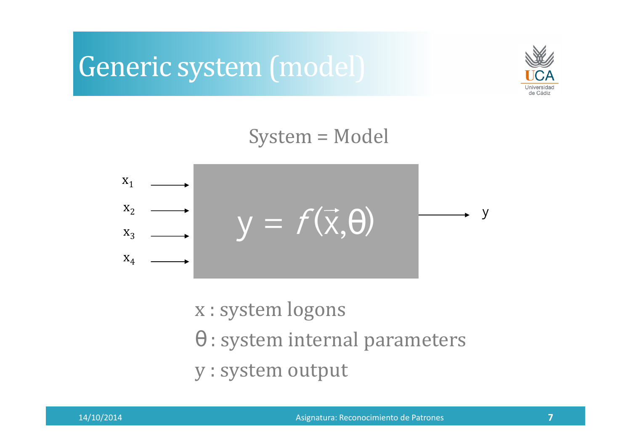### Generic system (model)



#### System = Model



<sup>x</sup> : system logons

θ : system internal parameters

<sup>y</sup> : system output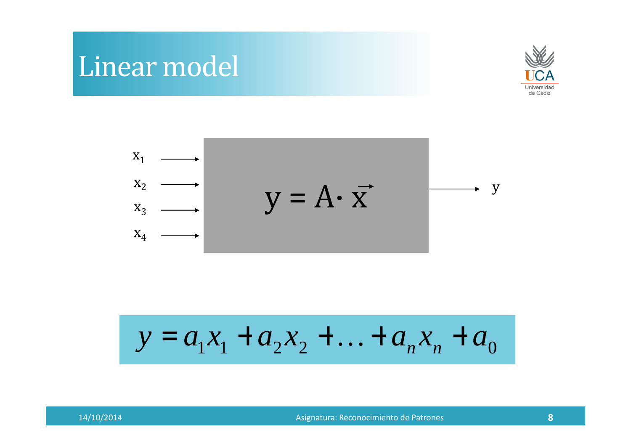### Linear model





$$
y = a_1 x_1 + a_2 x_2 + \ldots + a_n x_n + a_0
$$

Asignatura: Reconocimiento de Patrones **<sup>8</sup>**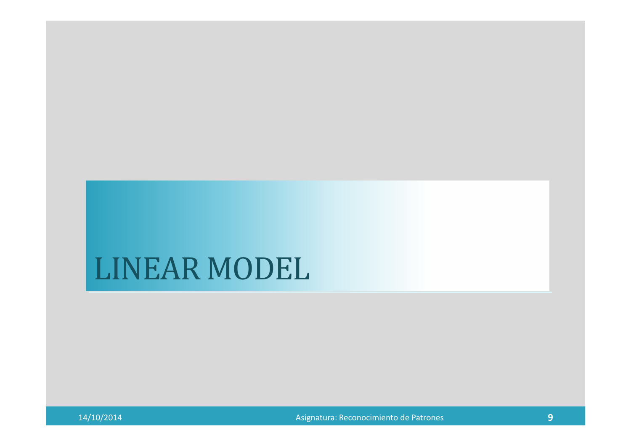### LINEAR MODEL

14/10/2014

Asignatura: Reconocimiento de Patrones **<sup>9</sup>**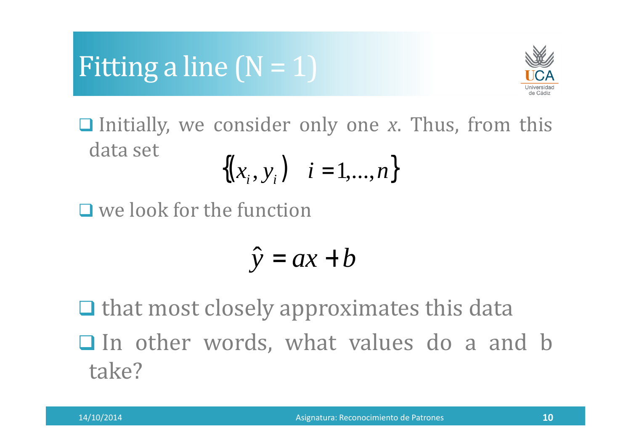

 Initially, we consider only one *<sup>x</sup>*. Thus, from this data set

$$
\{(x_i, y_i) \mid i = 1, ..., n\}
$$

 $\Box$  we look for the function

$$
\hat{y} = ax + b
$$

 $\Box$  that most closely approximates this data  $\Box$  In other words, what values do a and b take?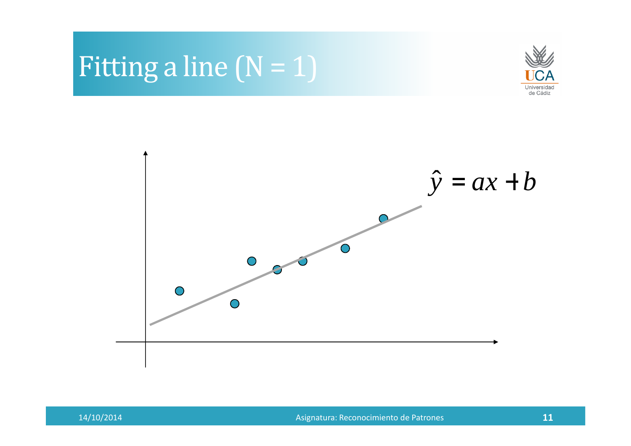





Asignatura: Reconocimiento de Patrones **<sup>11</sup>**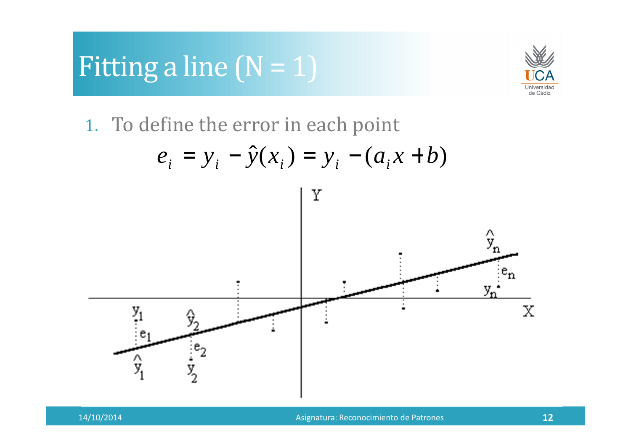

1. To define the error in each point

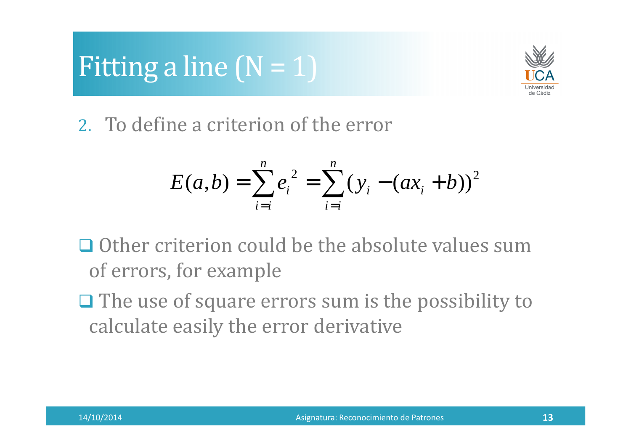

2. To define a criterion of the error

$$
E(a,b) = \sum_{i=i}^{n} e_i^2 = \sum_{i=i}^{n} (y_i - (ax_i + b))^2
$$

- $\Box$  Other criterion could be the absolute values sum of errors, for example
- $\Box$  The use of square errors sum is the possibility to  $\Box$ calculate easily the error derivative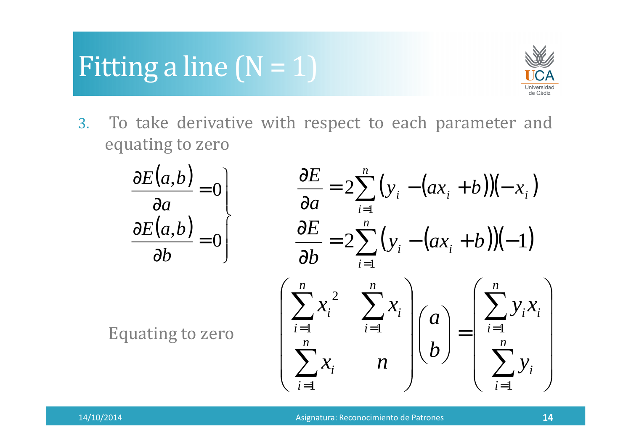

3. To take derivative with respect to each parameter and equating to zero

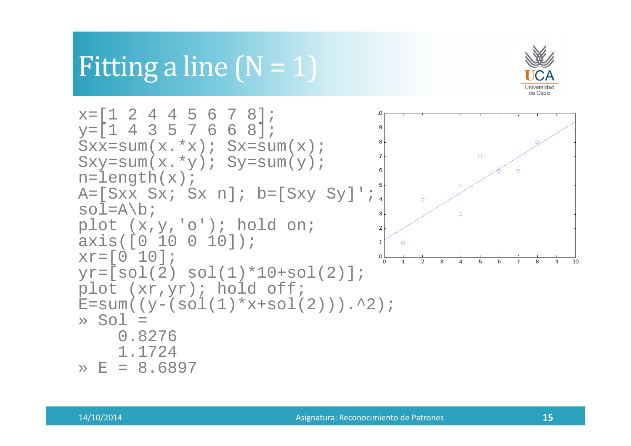

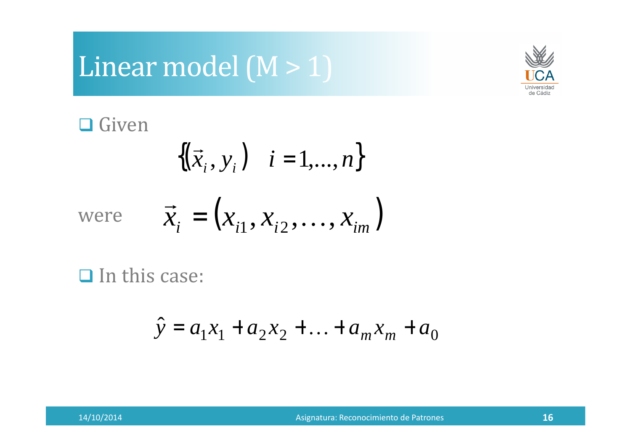# Linear model (M > 1)



# **□** Given

$$
\{(\vec{x}_i, y_i) \mid i = 1, \ldots, n\}
$$

were 
$$
\vec{x}_i = (x_{i1}, x_{i2}, \dots, x_{im})
$$

 $\Box$  In this case:

$$
\hat{y} = a_1 x_1 + a_2 x_2 + \dots + a_m x_m + a_0
$$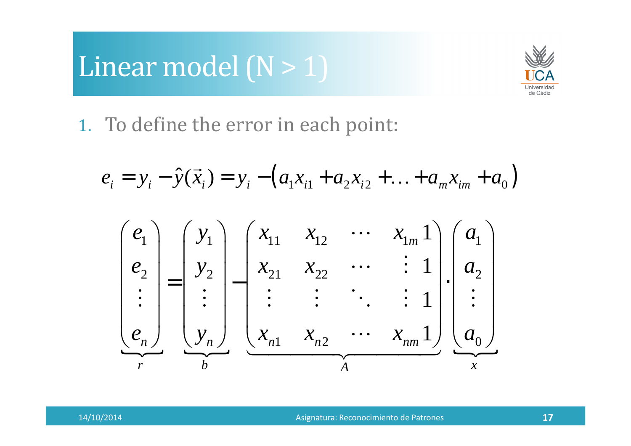# Linear model  $(N > 1)$



1. To define the error in each point:

$$
e_i = y_i - \hat{y}(\vec{x}_i) = y_i - (a_1 x_{i1} + a_2 x_{i2} + \dots + a_m x_{im} + a_0)
$$

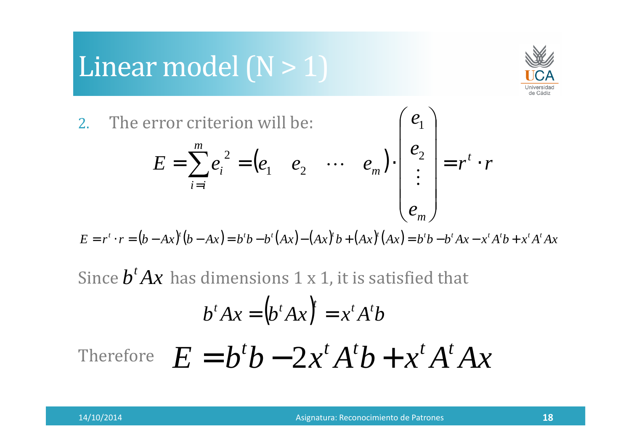# Linear model  $(N > 1)$



2.The error criterion will be:

error criterion will be:  
\n
$$
E = \sum_{i=i}^{m} e_i^2 = (e_1 \quad e_2 \quad \cdots \quad e_m) \cdot \begin{pmatrix} e_1 \\ e_2 \\ \vdots \\ e_m \end{pmatrix} = r^t \cdot r
$$

 $E = r^t \cdot r = (b - Ax)^t (b - Ax) = b^t b - b^t (Ax) - (Ax)^t b + (Ax)^t (Ax) = b^t b - b^t Ax - x^t A^t b + x^t A^t Ax$ 

Since  $b^t Ax$  has dimensions 1 x 1, it is satisfied that

$$
b^t A x = (b^t A x)^t = x^t A^t b
$$

Therefore 
$$
E = b^t b - 2x^t A^t b + x^t A^t A x
$$

 $\left\langle \begin{array}{c} e_1 \end{array} \right\rangle$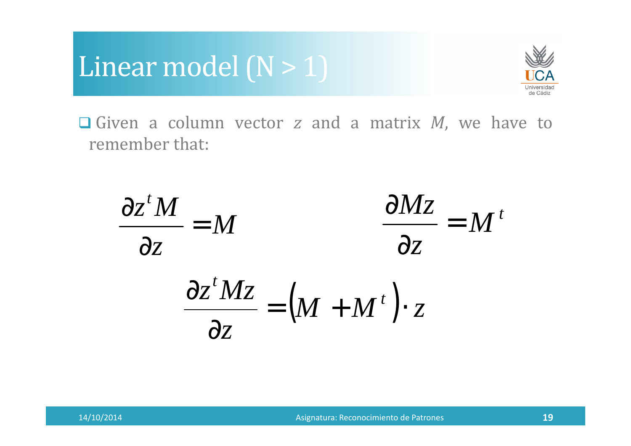



 Given <sup>a</sup> column vector *<sup>z</sup>* and <sup>a</sup> matrix *<sup>M</sup>*, we have to remember that:



$$
\frac{\partial z^t M z}{\partial z} = \left(M + M^t\right) \cdot z
$$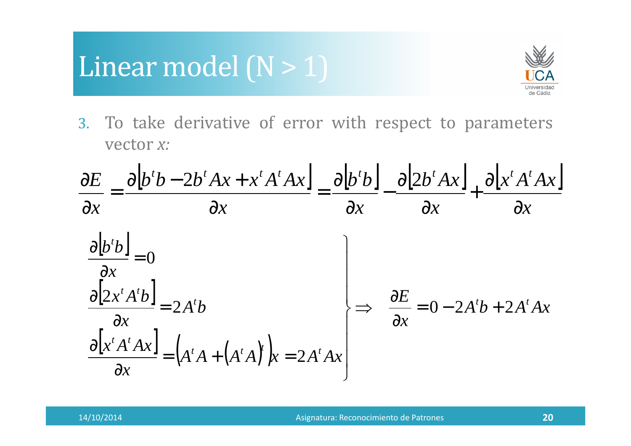### Linear model  $(N > 1)$



3. To take derivative of error with respect to parameters vector *x:*

$$
\frac{\partial E}{\partial x} = \frac{\partial [b^t b - 2b^t Ax + x^t A^t Ax]}{\partial x} = \frac{\partial [b^t b]}{\partial x} - \frac{\partial [2b^t Ax]}{\partial x} + \frac{\partial [x^t A^t Ax]}{\partial x}
$$
  

$$
\frac{\partial [b^t b]}{\partial x} = 0
$$
  

$$
\frac{\partial [2x^t A^t b]}{\partial x} = 2A^t b
$$
  

$$
\frac{\partial [x^t A^t Ax]}{\partial x} = (A^t A + (A^t A)^t) x = 2A^t A x
$$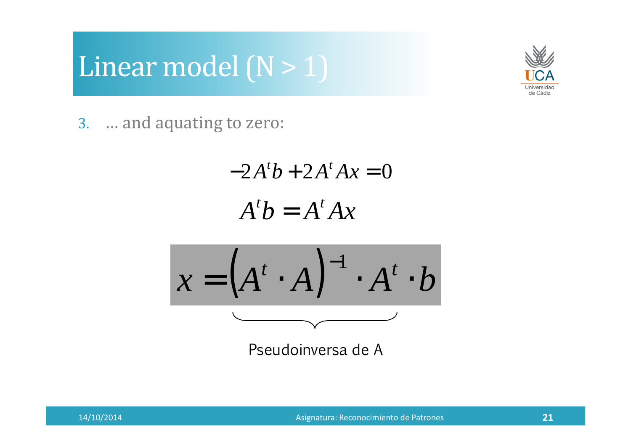



3. … and aquating to zero:

$$
-2A^{t}b + 2A^{t}Ax = 0
$$

$$
A^{t}b = A^{t}Ax
$$

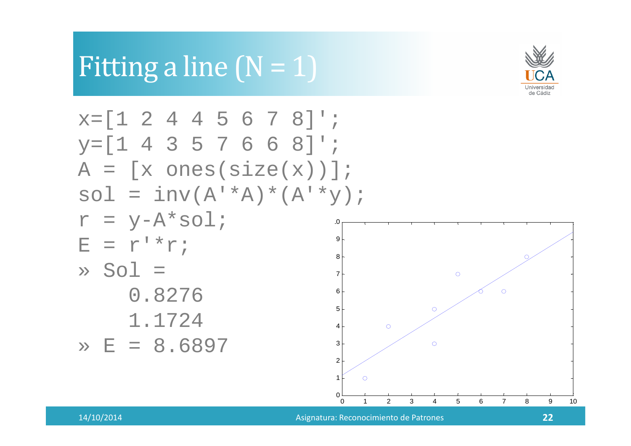

#### $x=[1 2 4 4 5 6 7 8]$ '; y=[1 4 3 5 7 6 6 8]'; A = [x ones(size(x))]; sol = inv(A'\*A)\*(A'\*y); $r = y - A * sol i$ 109 $E = r' * r;$ 8 $\gg$  Sol = 7 $\circ$  $\circ$  0.827665 $\circ$  1.1724 $\circ$ 4 » E = 8.68973 $\circ$ 21∩ 000 1 2 3 4 5 6 7 8 9 10

Fitting a line  $(N = 1)$ 

Asignatura: Reconocimiento de Patrones **<sup>22</sup>**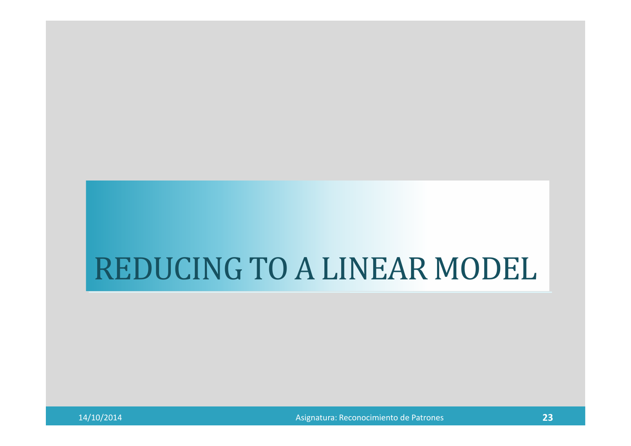# REDUCING TO A LINEAR MODEL

Asignatura: Reconocimiento de Patrones **<sup>23</sup>**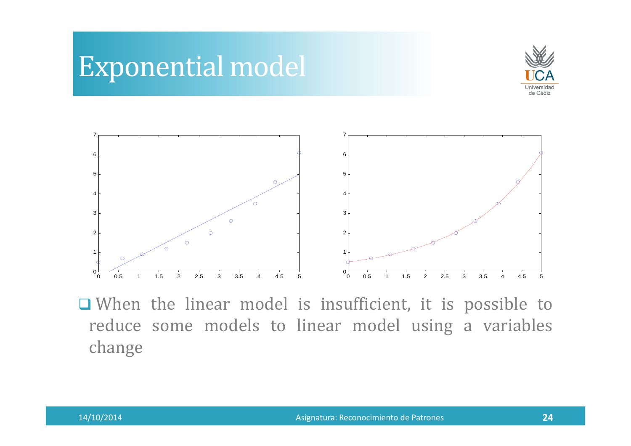



■ When the linear model is insufficient, it is possible to reduce some models to linear model using <sup>a</sup> variables change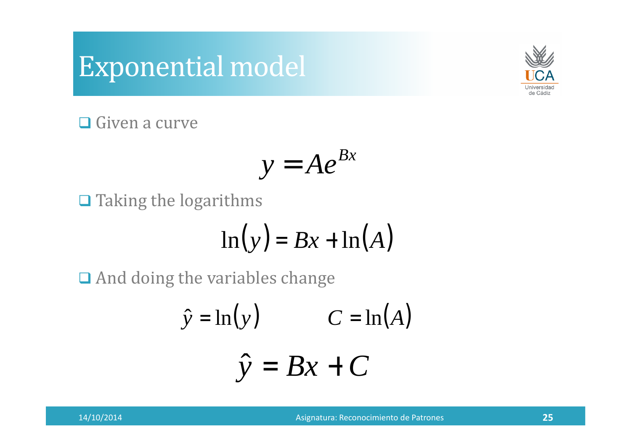### Exponential model



**□** Given a curve

$$
y=Ae^{Bx}
$$

 $\Box$  Taking the logarithms

$$
\ln(y) = Bx + \ln(A)
$$

**□** And doing the variables change

$$
\hat{y} = \ln(y) \qquad C = \ln(A)
$$

$$
\hat{y} = Bx + C
$$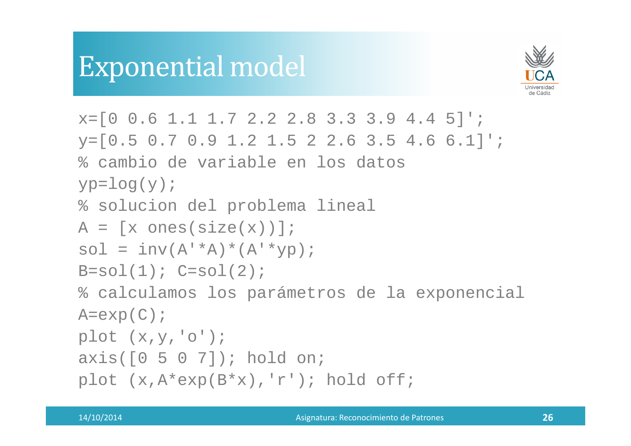### Exponential model



```
x=[0 \ 0.6 \ 1.1 \ 1.7 \ 2.2 \ 2.8 \ 3.3 \ 3.9 \ 4.4 \ 5]';

y=[0.5 0.7 0.9 1.2 1.5 2 2.6 3.5 4.6 6.1]';% cambio de variable en los datosyp = log(y);

% solucion del problema lineal
A = [x \text{ ones}(size(x))];sol = inv(A'*A)*(A'*yp);B=so1(1); C=so1(2);
% calculamos los parámetros de la exponencialA=exp(C);
plot (x,y,'o');
axis([0 5 0 7]); hold on;
plot (x,A*exp(B*x),'r'); hold off;
```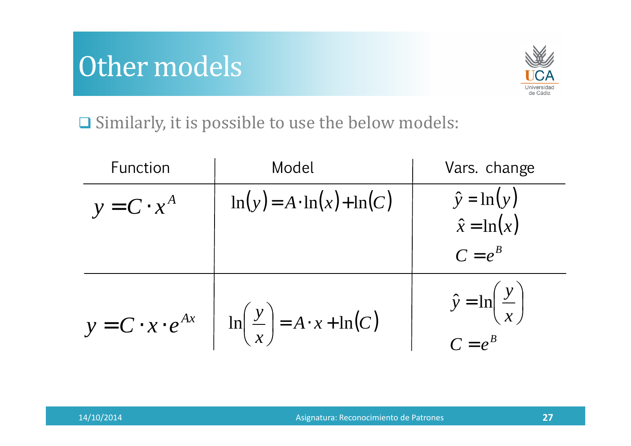# Other models



 $\Box$  Similarly, it is possible to use the below models:

| Function          | Model                                                                           | Vars. change                                           |
|-------------------|---------------------------------------------------------------------------------|--------------------------------------------------------|
| $y = C \cdot x^A$ | $\ln(y) = A \cdot \ln(x) + \ln(C)$                                              | $\hat{y} = \ln(y)$                                     |
|                   |                                                                                 | $\hat{x} = \ln(x)$                                     |
|                   |                                                                                 | $C = e^B$                                              |
|                   | $y = C \cdot x \cdot e^{Ax}$ $\ln\left(\frac{y}{x}\right) = A \cdot x + \ln(C)$ | $\hat{y} = \ln\left(\frac{y}{x}\right)$<br>$C = e^{B}$ |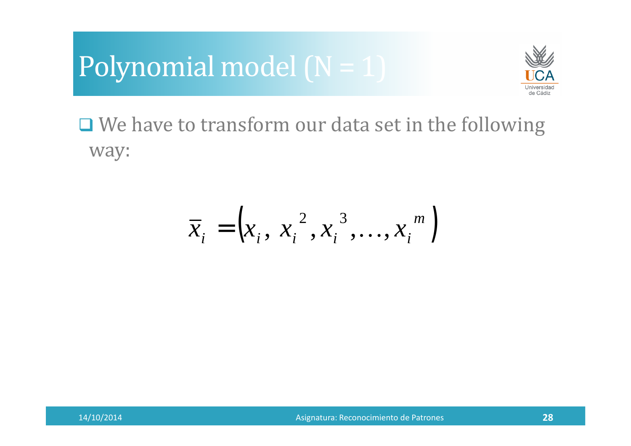



□ We have to transform our data set in the following way:

$$
\overline{x}_i = \left(x_i, x_i^2, x_i^3, \dots, x_i^m\right)
$$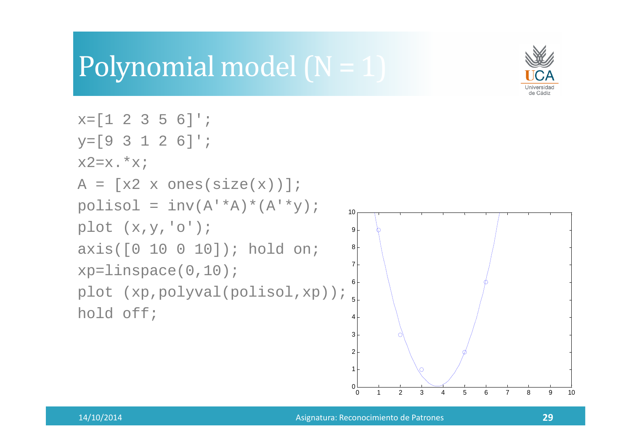## Polynomial model (N = 1)



```
x=[1 2 3 5 6];
y=[9 3 1 2 6]';x2=x.*x;A = [x2 \times ones(size(x))];polisol = inv(A'*A)*(A'*y);plot (x,y,'o');
axis([0 10 0 10]); hold on;xp=linspace(0,10);plot (xp,polyval(polisol,xp));hold off;2345678910
```
 $^{\circ}$  0

0

1

<sup>1</sup> <sup>2</sup> <sup>3</sup> <sup>4</sup> <sup>5</sup> <sup>6</sup> <sup>7</sup> <sup>8</sup> <sup>9</sup> <sup>10</sup>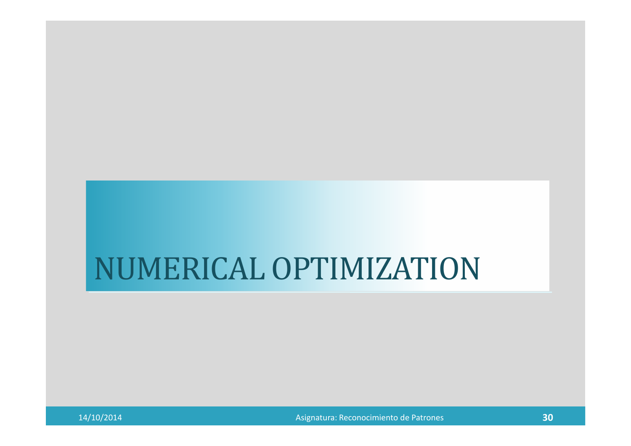# NUMERICAL OPTIMIZATION

Asignatura: Reconocimiento de Patrones **<sup>30</sup>**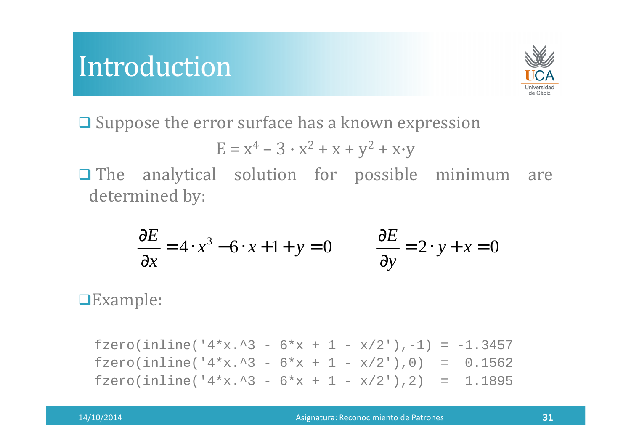### Introduction



**□ Suppose the error surface has a known expression** 

$$
E = x^4 - 3 \cdot x^2 + x + y^2 + x \cdot y
$$

The analytical solution for possible minimum are determined by:

$$
\frac{\partial E}{\partial x} = 4 \cdot x^3 - 6 \cdot x + 1 + y = 0 \qquad \frac{\partial E}{\partial y} = 2 \cdot y + x = 0
$$

Example:

fzero(inline(' $4*x.^3 - 6*x + 1 - x/2'$ ),-1) = -1.3457 fzero(inline(' $4*x.^3 - 6*x + 1 - x/2'$ ),0) = 0.1562 fzero(inline(' $4*x.^3 - 6*x + 1 - x/2'$ ),2) = 1.1895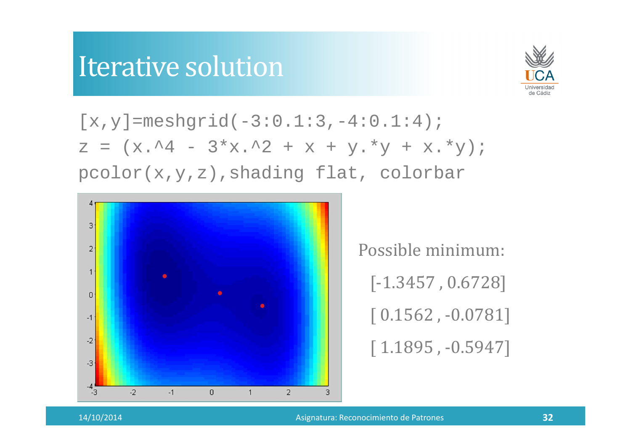# Iterative solution



 $[x, y] = meshgrid(-3:0.1:3,-4:0.1:4);$  $z = (x.^4 - 3*x.^2 + x + y.*y + x.*y);$ pcolor(x,y,z),shading flat, colorbar



Possible minimum: [-1.3457 , 0.6728][ 0.1562 , -0.0781][ 1.1895 , -0.5947]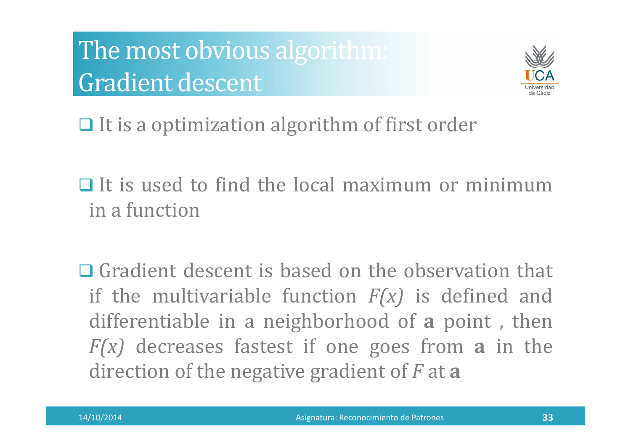The most obvious algorithm: Gradient descent



 $\Box$  It is a optimization algorithm of first order

 $\Box$  It is used to find the local maximum or minimum in <sup>a</sup> function

 $\Box$  Gradient descent is based on the observation that if the multivariable function *F(x)* is defined and differentiable in <sup>a</sup> neighborhood of **<sup>a</sup>** point , then *F(x)* decreases fastest if one goes from **<sup>a</sup>** in the direction of the negative gradient of *<sup>F</sup>* at **<sup>a</sup>**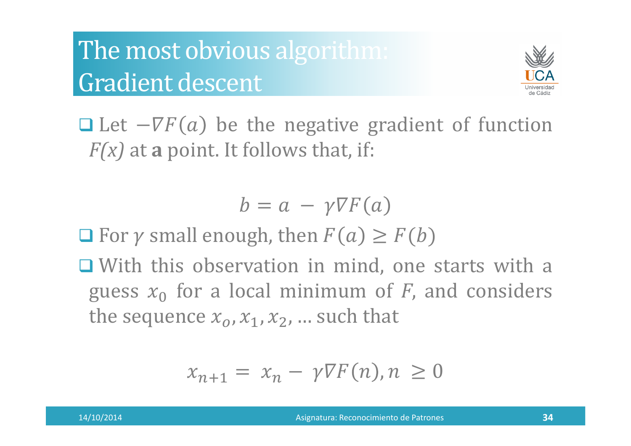# The most obvious algorithm: Gradient descent



 $\Box$  Let  $-\nabla F(a)$  be the negative gradient of function *F(x)* at **<sup>a</sup>** point. It follows that, if:

$$
b = a - \gamma \nabla F(a)
$$

 $\Box$  For  $\gamma$  small enough, then  $F(a) \geq F(b)$ 

 $\Box$  With this observation in mind, one starts with a guess  $x_0$  for a local minimum of  $F$ , and considers<br>the sequence  $x_0$  at  $x_0$  guch that the sequence  $x_o$  ,  $x_1$  ,  $x_2$  , ... such that

$$
x_{n+1} = x_n - \gamma \nabla F(n), n \ge 0
$$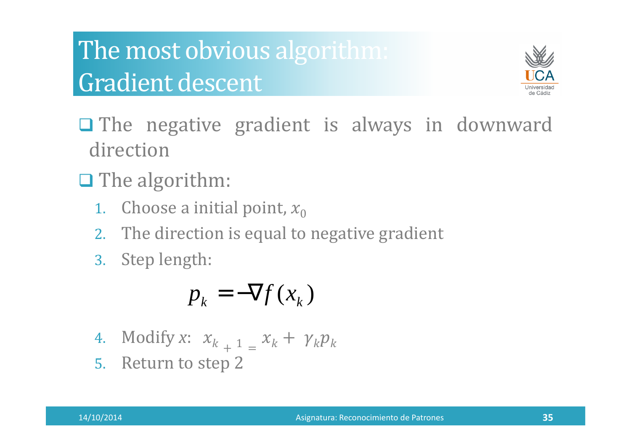# The most obvious algorithm: Gradient descent



- The negative gradient is always in downward direction
- **Q** The algorithm:
	- 1. Choose a initial point,  $x_{0}$
	- 2. The direction is equa<sup>l</sup> to negative gradient
	- 3. Step length:

$$
p_k = -\nabla f(x_k)
$$

- 4. Modify *<sup>x</sup>*:   $+\frac{1}{2} = \frac{x_k + \gamma_k p_k}{\gamma_k}$
- 5. Return to step <sup>2</sup>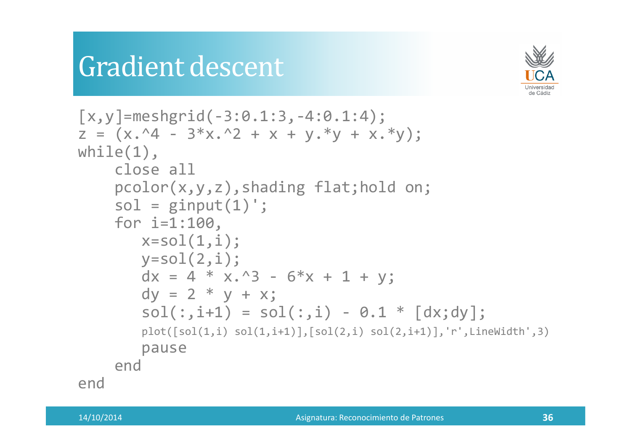### Gradient descent



```
[x, y] = meshgrid(-3:0.1:3, -4:0.1:4);
z = (x.^4 - 3*x.^2 + x + y.*y + x.*y);while(1),
close all
pcolor(x,y,z),shading flat;hold on;sol = ginput(1);
       for i=1:100,\textsf{x}= \textsf{sol}(\textsf{1},\textsf{i});

y=sol(2,i);
dx = 4 * x.^3 - 6*x + 1 + y;dy = 2 * y + x;
             \texttt{sol}(\,:\,,\texttt{i+1}) \ = \ \texttt{sol}(\,:\,,\texttt{i}\,) \ - \ \texttt{0.1} \ * \ \ \llbracket \texttt{dx};\texttt{dy} \rrbracket\,;{\sf plot}(\text{\small{[sol(1,i)$}} \; {\sf sol(1,i+1)}],\text{\small{[sol(2,i)$}} \; {\sf sol(2,i+1)}],\text{\small{'}r'},\text{\small{LineWidth'}} ,3)pauseendend
```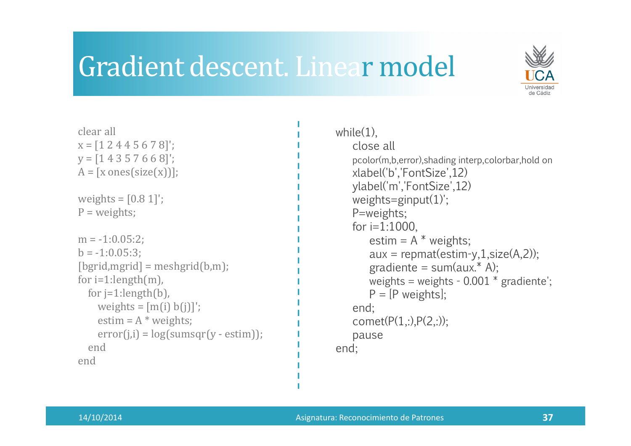### Gradient descent. Linear model



| clear all<br>$x = [1 2 4 4 5 6 7 8]$ ;<br>$y = [1 4 3 5 7 6 6 8]$ ;<br>$A = [x \text{ ones}(size(x))];$                                                                                                                                                 |
|---------------------------------------------------------------------------------------------------------------------------------------------------------------------------------------------------------------------------------------------------------|
| weights = $[0.8 1]$ ;<br>$P = weights;$                                                                                                                                                                                                                 |
| $m = -1:0.05:2;$<br>$b = -1:0.05:3$ ;<br>$[bgrid, myrid] = meshgrid(b,m);$<br>for $i=1$ : length $(m)$ ,<br>for $i=1$ : length $(b)$ ,<br>weights = $[m(i) b(j)]'$ ;<br>estim = $A^*$ weights;<br>$error(j,i) = log(sumsqrt(y - estim));$<br>end<br>end |
|                                                                                                                                                                                                                                                         |

```
while(1),
close all
   pcolor(m,b,error),shading interp,colorbar,hold onxlabel('b','FontSize',12)
ylabel('m','FontSize',12)weights=ginput(1)'; P=weights;for i=1:1000,
       estim = A^* weights;
       aux = repmat(estim-y,1,size(A,2));
       gradient = sum(aux.* A);weights = weights - 0.001 * gradiente';
       P = [P weights];
   end;
comet(P(1,:),P(2,:));pauseend;
```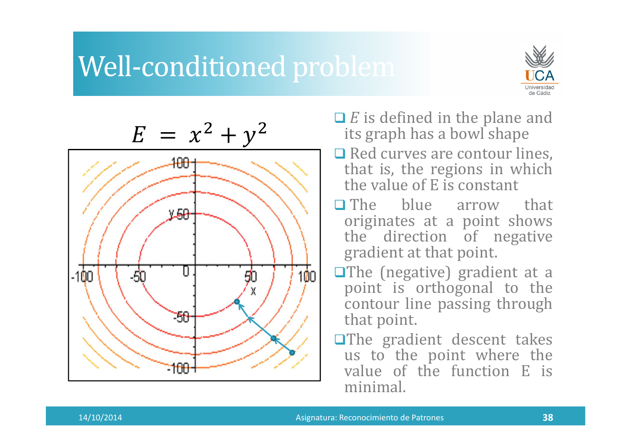# Well-conditioned problem





- *E* is defined in the plane and<br>its graph has a howl shape its grap<sup>h</sup> has <sup>a</sup> bowl shape
- $\Box$  Red curves are contour lines,<br>that is the regions in which that is, the regions in which the value of <sup>E</sup> is constant
- The blue arrow that<br>
originates at a noint shows originates at <sup>a</sup> point shows the direction of negative gradient at that point.
- **The (negative) gradient at a** point is orthogonal to the contour line passing through that point.
- **The gradient descent takes** us to the point where the value of the function <sup>E</sup> is minimal.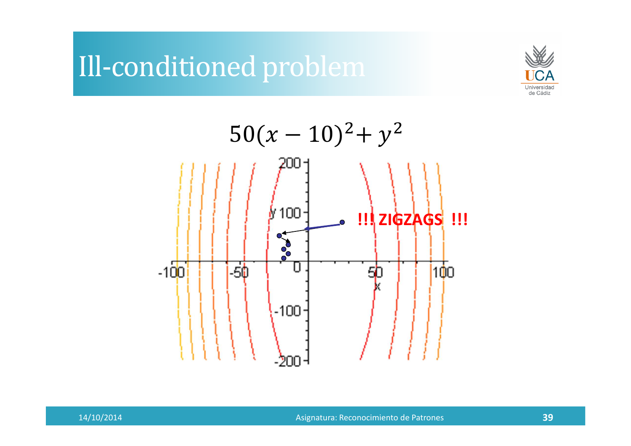# Ill-conditioned problem



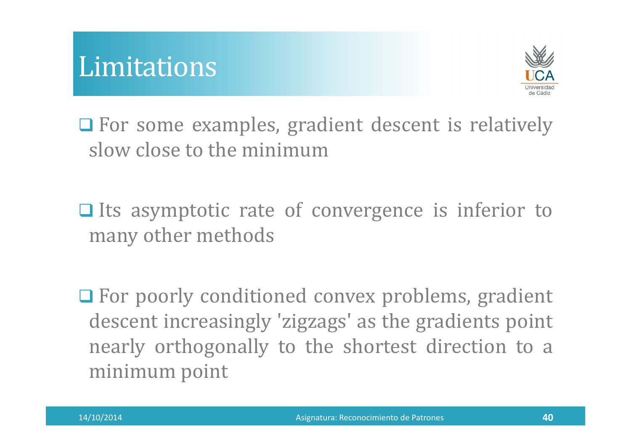



**Q** For some examples, gradient descent is relatively slow close to the minimum

 $\Box$  Its asymptotic rate of convergence is inferior to many other methods

**OF** For poorly conditioned convex problems, gradient descent increasingly 'zigzags' as the gradients point nearly orthogonally to the shortest direction to <sup>a</sup> minimum point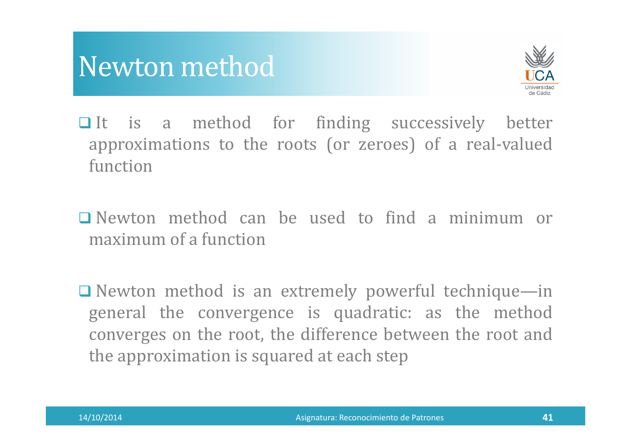

- $\Box$  It is a method for finding successively better approximations to the roots (or zeroes) of <sup>a</sup> real-valued function
- $\Box$  Newton method can be used to find a minimum or maximum of a function maximum of <sup>a</sup> function
- Newton method is an extremely powerful technique—in genera<sup>l</sup> the convergence is quadratic: as the method converges on the root, the difference between the root and the approximation is squared at each step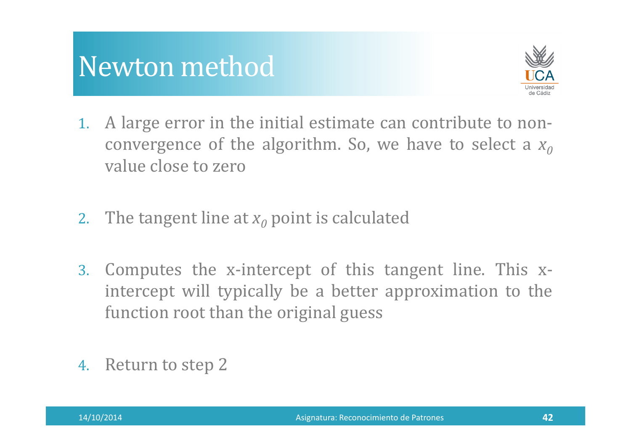

- 1. <sup>A</sup> large error in the initial estimate can contribute to nonconvergence of the algorithm. So, we have to select a  $x_0$ value close to zero
- 2. The tangent line at  $x_{0}$  point is calculated
- 3. Computes the x-intercept of this tangent line. This xintercept will typically be <sup>a</sup> better approximation to the function root than the original guess
- 4. Return to step <sup>2</sup>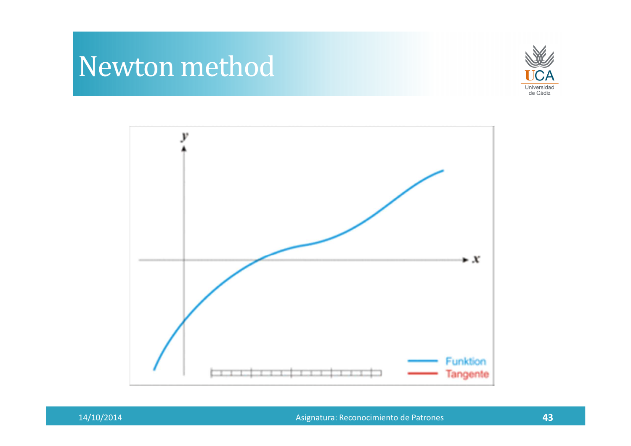



Asignatura: Reconocimiento de Patrones **<sup>43</sup>**